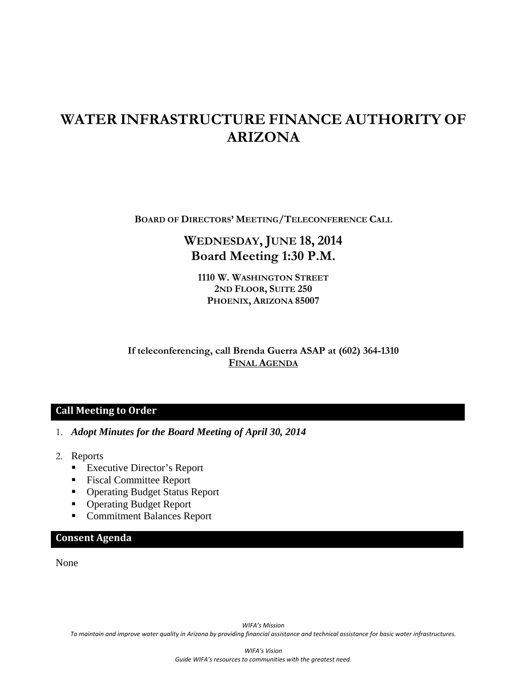# **WATER INFRASTRUCTURE FINANCE AUTHORITY OF ARIZONA**

**BOARD OF DIRECTORS' MEETING/TELECONFERENCE CALL**

## **WEDNESDAY, JUNE 18, 2014 Board Meeting 1:30 P.M.**

**1110 W. WASHINGTON STREET 2ND FLOOR, SUITE 250 PHOENIX, ARIZONA 85007** 

**If teleconferencing, call Brenda Guerra ASAP at (602) 364-1310 FINAL AGENDA**

#### **Call Meeting to Order**

- 1. *Adopt Minutes for the Board Meeting of April 30, 2014*
- 2. Reports
	- Executive Director's Report
	- Fiscal Committee Report
	- Operating Budget Status Report
	- Operating Budget Report
	- Commitment Balances Report

#### **Consent Agenda**

None

*WIFA's Mission* To maintain and improve water quality in Arizona by providing financial assistance and technical assistance for basic water infrastructures.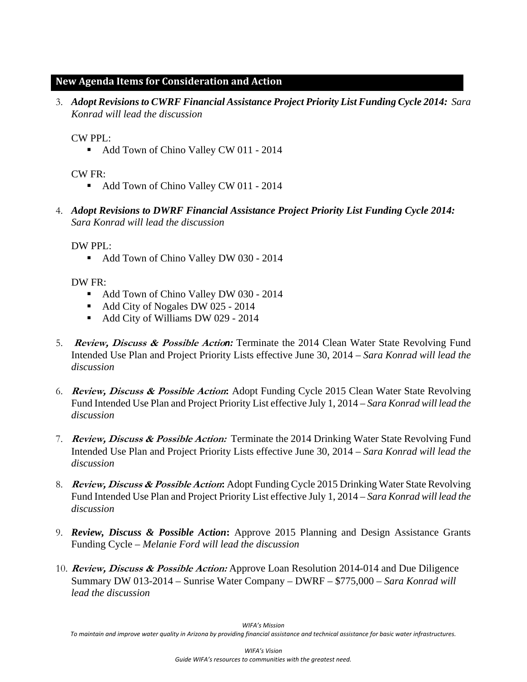#### **New Agenda Items for Consideration and Action**

3. *Adopt Revisions to CWRF Financial Assistance Project Priority List Funding Cycle 2014: Sara Konrad will lead the discussion*

CW PPL:

• Add Town of Chino Valley CW 011 - 2014

CW FR:

- Add Town of Chino Valley CW 011 2014
- 4. *Adopt Revisions to DWRF Financial Assistance Project Priority List Funding Cycle 2014: Sara Konrad will lead the discussion*

DW PPL:

Add Town of Chino Valley DW 030 - 2014

DW FR:

- Add Town of Chino Valley DW 030 2014
- Add City of Nogales DW 025 2014
- Add City of Williams DW 029 2014
- 5. **Review, Discuss & Possible Actio***n:* Terminate the 2014 Clean Water State Revolving Fund Intended Use Plan and Project Priority Lists effective June 30, 2014 – *Sara Konrad will lead the discussion*
- 6. **Review, Discuss & Possible Action:** Adopt Funding Cycle 2015 Clean Water State Revolving Fund Intended Use Plan and Project Priority List effective July 1, 2014 – *Sara Konrad will lead the discussion*
- 7. **Review, Discuss & Possible Action:** Terminate the 2014 Drinking Water State Revolving Fund Intended Use Plan and Project Priority Lists effective June 30, 2014 – *Sara Konrad will lead the discussion*
- 8. **Review, Discuss & Possible Action:** Adopt Funding Cycle 2015 Drinking Water State Revolving Fund Intended Use Plan and Project Priority List effective July 1, 2014 – *Sara Konrad will lead the discussion*
- 9. *Review, Discuss & Possible Action***:** Approve 2015 Planning and Design Assistance Grants Funding Cycle – *Melanie Ford will lead the discussion*
- 10. **Review, Discuss & Possible Action:** Approve Loan Resolution 2014-014 and Due Diligence Summary DW 013-2014 – Sunrise Water Company – DWRF – \$775,000 *– Sara Konrad will lead the discussion*

*WIFA's Mission*

To maintain and improve water quality in Arizona by providing financial assistance and technical assistance for basic water infrastructures.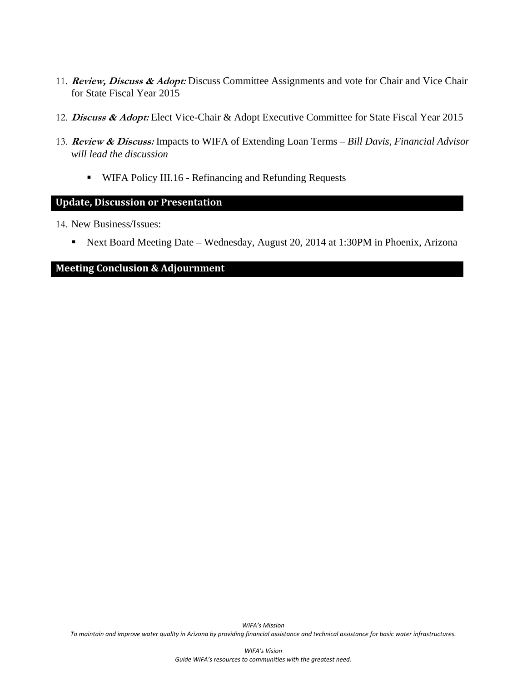- 11. **Review, Discuss & Adopt:** Discuss Committee Assignments and vote for Chair and Vice Chair for State Fiscal Year 2015
- 12. **Discuss & Adopt:** Elect Vice-Chair & Adopt Executive Committee for State Fiscal Year 2015
- 13. **Review & Discuss:** Impacts to WIFA of Extending Loan Terms *Bill Davis, Financial Advisor will lead the discussion* 
	- **WIFA Policy III.16 Refinancing and Refunding Requests**

#### **Update, Discussion or Presentation**

- 14. New Business/Issues:
	- Next Board Meeting Date Wednesday, August 20, 2014 at 1:30PM in Phoenix, Arizona

#### **Meeting Conclusion & Adjournment**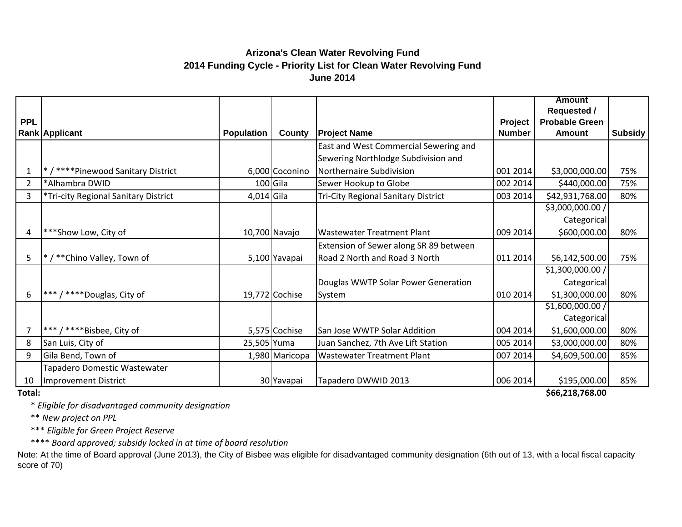### **Arizona's Clean Water Revolving Fund 2014 Funding Cycle - Priority List for Clean Water Revolving Fund June 2014**

|                |                                      |                   |                |                                            |               | <b>Amount</b>         |         |
|----------------|--------------------------------------|-------------------|----------------|--------------------------------------------|---------------|-----------------------|---------|
|                |                                      |                   |                |                                            |               | <b>Requested /</b>    |         |
| <b>PPL</b>     |                                      |                   |                |                                            | Project       | <b>Probable Green</b> |         |
|                | <b>Rank Applicant</b>                | <b>Population</b> | County         | <b>Project Name</b>                        | <b>Number</b> | Amount                | Subsidy |
|                |                                      |                   |                | East and West Commercial Sewering and      |               |                       |         |
|                |                                      |                   |                | Sewering Northlodge Subdivision and        |               |                       |         |
|                | */****Pinewood Sanitary District     |                   | 6,000 Coconino | Northernaire Subdivision                   | 001 2014      | \$3,000,000.00        | 75%     |
| $\overline{2}$ | *Alhambra DWID                       |                   | $100$ Gila     | Sewer Hookup to Globe                      | 002 2014      | \$440,000.00          | 75%     |
| 3              | *Tri-city Regional Sanitary District | 4,014 Gila        |                | <b>Tri-City Regional Sanitary District</b> | 003 2014      | \$42,931,768.00       | 80%     |
|                |                                      |                   |                |                                            |               | \$3,000,000.00 /      |         |
|                |                                      |                   |                |                                            |               | Categorical           |         |
| 4              | ***Show Low, City of                 |                   | 10,700 Navajo  | <b>Wastewater Treatment Plant</b>          | 009 2014      | \$600,000.00          | 80%     |
|                |                                      |                   |                | Extension of Sewer along SR 89 between     |               |                       |         |
| 5              | */**Chino Valley, Town of            |                   | 5,100 Yavapai  | Road 2 North and Road 3 North              | 011 2014      | \$6,142,500.00        | 75%     |
|                |                                      |                   |                |                                            |               | \$1,300,000.00/       |         |
|                |                                      |                   |                | Douglas WWTP Solar Power Generation        |               | Categorical           |         |
| 6              | *** / **** Douglas, City of          |                   | 19,772 Cochise | System                                     | 010 2014      | \$1,300,000.00        | 80%     |
|                |                                      |                   |                |                                            |               | \$1,600,000.00/       |         |
|                |                                      |                   |                |                                            |               | Categorical           |         |
| 7              | *** / **** Bisbee, City of           |                   | 5,575 Cochise  | San Jose WWTP Solar Addition               | 004 2014      | \$1,600,000.00        | 80%     |
| 8              | San Luis, City of                    | 25,505 Yuma       |                | Juan Sanchez, 7th Ave Lift Station         | 005 2014      | \$3,000,000.00        | 80%     |
| 9              | Gila Bend, Town of                   |                   | 1,980 Maricopa | <b>Wastewater Treatment Plant</b>          | 007 2014      | \$4,609,500.00        | 85%     |
|                | Tapadero Domestic Wastewater         |                   |                |                                            |               |                       |         |
| 10             | Improvement District                 |                   | 30 Yavapai     | Tapadero DWWID 2013                        | 006 2014      | \$195,000.00          | 85%     |

**Total:**

\* *Eligible for disadvantaged community designation*

\*\* *New project on PPL*

\*\*\* *Eligible for Green Project Reserve*

\*\*\*\* *Board approved; subsidy locked in at time of board resolution*

Note: At the time of Board approval (June 2013), the City of Bisbee was eligible for disadvantaged community designation (6th out of 13, with a local fiscal capacity score of 70)

**\$66,218,768.00**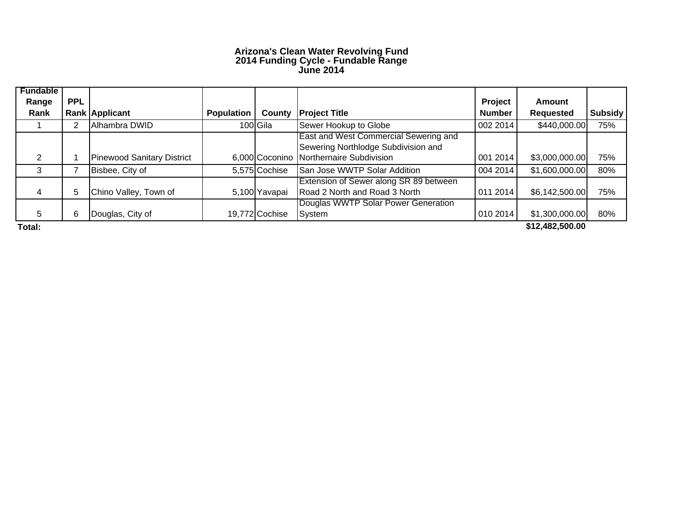#### **Arizona's Clean Water Revolving Fund 2014 Funding Cycle - Fundable Range June 2014**

| <b>Fundable</b><br>Range | <b>PPL</b> |                                   |                   |                |                                                                              | Project       | Amount           |         |
|--------------------------|------------|-----------------------------------|-------------------|----------------|------------------------------------------------------------------------------|---------------|------------------|---------|
| Rank                     |            | Rank Applicant                    | <b>Population</b> | County         | <b>Project Title</b>                                                         | <b>Number</b> | <b>Requested</b> | Subsidy |
|                          |            | Alhambra DWID                     |                   | 100 Gila       | Sewer Hookup to Globe                                                        | 002 2014      | \$440,000.00     | 75%     |
|                          |            |                                   |                   |                | East and West Commercial Sewering and<br>Sewering Northlodge Subdivision and |               |                  |         |
| 2                        |            | <b>Pinewood Sanitary District</b> |                   | 6,000 Coconino | Northernaire Subdivision                                                     | 001 2014      | \$3,000,000.00]  | 75%     |
| 3                        |            | Bisbee, City of                   |                   | 5,575 Cochise  | San Jose WWTP Solar Addition                                                 | 004 2014      | \$1,600,000.00   | 80%     |
| 4                        | 5          | Chino Valley, Town of             |                   | 5,100 Yavapai  | Extension of Sewer along SR 89 between<br>Road 2 North and Road 3 North      | 011 2014      | \$6,142,500.00   | 75%     |
| 5                        | 6          | Douglas, City of                  |                   | 19,772 Cochise | Douglas WWTP Solar Power Generation<br>System                                | 0102014       | \$1,300,000.00   | 80%     |
| Total:                   |            |                                   |                   |                |                                                                              |               | \$12,482,500.00  |         |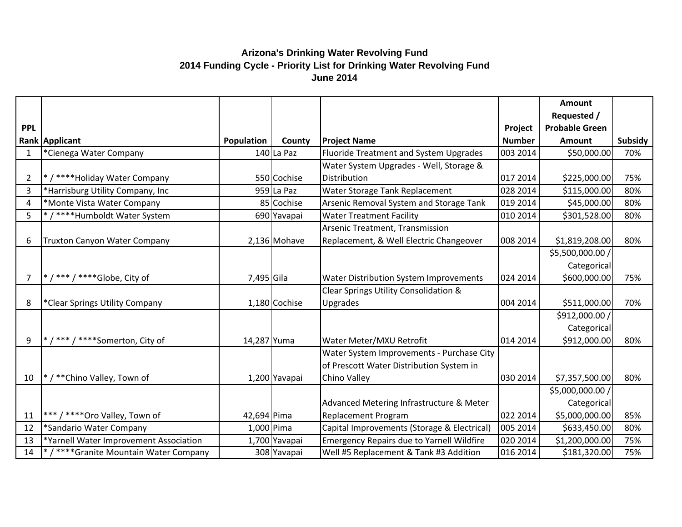## **Arizona's Drinking Water Revolving Fund 2014 Funding Cycle - Priority List for Drinking Water Revolving Fund June 2014**

|                |                                        |             |               |                                             |               | Amount                |                |
|----------------|----------------------------------------|-------------|---------------|---------------------------------------------|---------------|-----------------------|----------------|
|                |                                        |             |               |                                             |               | Requested /           |                |
| <b>PPL</b>     |                                        |             |               |                                             | Project       | <b>Probable Green</b> |                |
|                | Rank Applicant                         | Population  | County        | <b>Project Name</b>                         | <b>Number</b> | <b>Amount</b>         | <b>Subsidy</b> |
| $\mathbf{1}$   | *Cienega Water Company                 |             | $140$ La Paz  | Fluoride Treatment and System Upgrades      | 003 2014      | \$50,000.00           | 70%            |
|                |                                        |             |               | Water System Upgrades - Well, Storage &     |               |                       |                |
| $\overline{2}$ | */****Holiday Water Company            |             | 550 Cochise   | Distribution                                | 017 2014      | \$225,000.00          | 75%            |
| 3              | *Harrisburg Utility Company, Inc       |             | 959 La Paz    | Water Storage Tank Replacement              | 028 2014      | \$115,000.00          | 80%            |
| 4              | *Monte Vista Water Company             |             | 85 Cochise    | Arsenic Removal System and Storage Tank     | 019 2014      | \$45,000.00           | 80%            |
| 5              | */****Humboldt Water System            |             | 690 Yavapai   | <b>Water Treatment Facility</b>             | 010 2014      | \$301,528.00          | 80%            |
|                |                                        |             |               | Arsenic Treatment, Transmission             |               |                       |                |
| 6              | Truxton Canyon Water Company           |             | 2,136 Mohave  | Replacement, & Well Electric Changeover     | 008 2014      | \$1,819,208.00        | 80%            |
|                |                                        |             |               |                                             |               | \$5,500,000.00 /      |                |
|                |                                        |             |               |                                             |               | Categorical           |                |
| 7              | * / *** / **** Globe, City of          | 7,495 Gila  |               | Water Distribution System Improvements      | 024 2014      | \$600,000.00          | 75%            |
|                |                                        |             |               | Clear Springs Utility Consolidation &       |               |                       |                |
| 8              | *Clear Springs Utility Company         |             | 1,180 Cochise | Upgrades                                    | 004 2014      | \$511,000.00          | 70%            |
|                |                                        |             |               |                                             |               | \$912,000.00 /        |                |
|                |                                        |             |               |                                             |               | Categorical           |                |
| 9              | * / *** / **** Somerton, City of       | 14,287 Yuma |               | Water Meter/MXU Retrofit                    | 014 2014      | \$912,000.00          | 80%            |
|                |                                        |             |               | Water System Improvements - Purchase City   |               |                       |                |
|                |                                        |             |               | of Prescott Water Distribution System in    |               |                       |                |
| 10             | */**Chino Valley, Town of              |             | 1,200 Yavapai | Chino Valley                                | 030 2014      | \$7,357,500.00        | 80%            |
|                |                                        |             |               |                                             |               | \$5,000,000.00 /      |                |
|                |                                        |             |               | Advanced Metering Infrastructure & Meter    |               | Categorical           |                |
| 11             | *** / **** Oro Valley, Town of         | 42,694 Pima |               | <b>Replacement Program</b>                  | 022 2014      | \$5,000,000.00        | 85%            |
| 12             | *Sandario Water Company                | 1,000 Pima  |               | Capital Improvements (Storage & Electrical) | 005 2014      | \$633,450.00          | 80%            |
| 13             | *Yarnell Water Improvement Association |             | 1,700 Yavapai | Emergency Repairs due to Yarnell Wildfire   | 020 2014      | \$1,200,000.00        | 75%            |
| 14             | */****Granite Mountain Water Company   |             | 308 Yavapai   | Well #5 Replacement & Tank #3 Addition      | 016 2014      | \$181,320.00          | 75%            |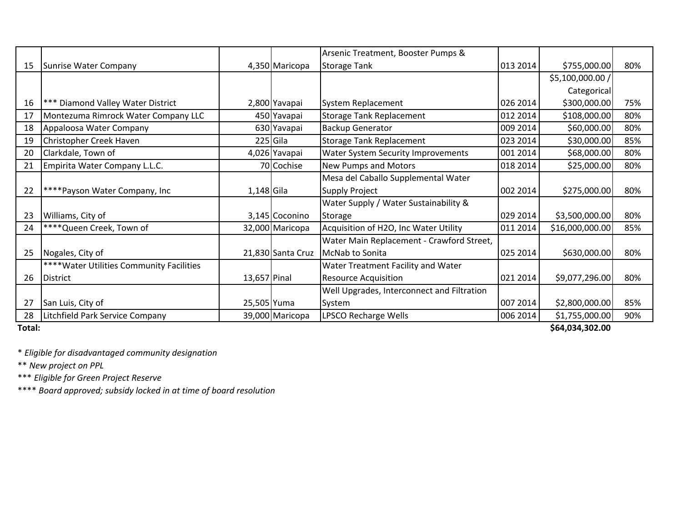|        |                                           |                 |                   | Arsenic Treatment, Booster Pumps &         |          |                  |     |  |  |
|--------|-------------------------------------------|-----------------|-------------------|--------------------------------------------|----------|------------------|-----|--|--|
| 15     | Sunrise Water Company                     |                 | 4,350 Maricopa    | <b>Storage Tank</b>                        | 013 2014 | \$755,000.00     | 80% |  |  |
|        |                                           |                 |                   |                                            |          | \$5,100,000.00 / |     |  |  |
|        |                                           |                 |                   |                                            |          | Categorical      |     |  |  |
| 16     | *** Diamond Valley Water District         |                 | 2,800 Yavapai     | System Replacement                         | 026 2014 | \$300,000.00     | 75% |  |  |
| 17     | Montezuma Rimrock Water Company LLC       |                 | 450 Yavapai       | <b>Storage Tank Replacement</b>            | 012 2014 | \$108,000.00     | 80% |  |  |
| 18     | Appaloosa Water Company                   |                 | 630 Yavapai       | <b>Backup Generator</b>                    | 009 2014 | \$60,000.00      | 80% |  |  |
| 19     | Christopher Creek Haven                   |                 | $225$ Gila        | <b>Storage Tank Replacement</b>            | 023 2014 | \$30,000.00      | 85% |  |  |
| 20     | Clarkdale, Town of                        |                 | 4,026 Yavapai     | <b>Water System Security Improvements</b>  | 001 2014 | \$68,000.00      | 80% |  |  |
| 21     | Empirita Water Company L.L.C.             |                 | 70 Cochise        | <b>New Pumps and Motors</b>                | 018 2014 | \$25,000.00      | 80% |  |  |
|        |                                           |                 |                   | Mesa del Caballo Supplemental Water        |          |                  |     |  |  |
| 22     | ****Payson Water Company, Inc             | $1,148$ Gila    |                   | <b>Supply Project</b>                      | 002 2014 | \$275,000.00     | 80% |  |  |
|        |                                           |                 |                   | Water Supply / Water Sustainability &      |          |                  |     |  |  |
| 23     | Williams, City of                         |                 | 3,145 Coconino    | Storage                                    | 029 2014 | \$3,500,000.00   | 80% |  |  |
| 24     | **** Queen Creek, Town of                 |                 | 32,000 Maricopa   | Acquisition of H2O, Inc Water Utility      | 011 2014 | \$16,000,000.00  | 85% |  |  |
|        |                                           |                 |                   | Water Main Replacement - Crawford Street,  |          |                  |     |  |  |
| 25     | Nogales, City of                          |                 | 21,830 Santa Cruz | McNab to Sonita                            | 025 2014 | \$630,000.00     | 80% |  |  |
|        | **** Water Utilities Community Facilities |                 |                   | Water Treatment Facility and Water         |          |                  |     |  |  |
| 26     | <b>District</b>                           | 13,657 Pinal    |                   | <b>Resource Acquisition</b>                | 021 2014 | \$9,077,296.00   | 80% |  |  |
|        |                                           |                 |                   | Well Upgrades, Interconnect and Filtration |          |                  |     |  |  |
| 27     | San Luis, City of                         | 25,505 Yuma     |                   | System                                     | 007 2014 | \$2,800,000.00   | 85% |  |  |
| 28     | Litchfield Park Service Company           |                 | 39,000 Maricopa   | LPSCO Recharge Wells                       | 006 2014 | \$1,755,000.00   | 90% |  |  |
| Total: |                                           | \$64,034,302.00 |                   |                                            |          |                  |     |  |  |

\* *Eligible for disadvantaged community designation*

\*\* *New project on PPL*

\*\*\* *Eligible for Green Project Reserve*

\*\*\*\* *Board approved; subsidy locked in at time of board resolution*